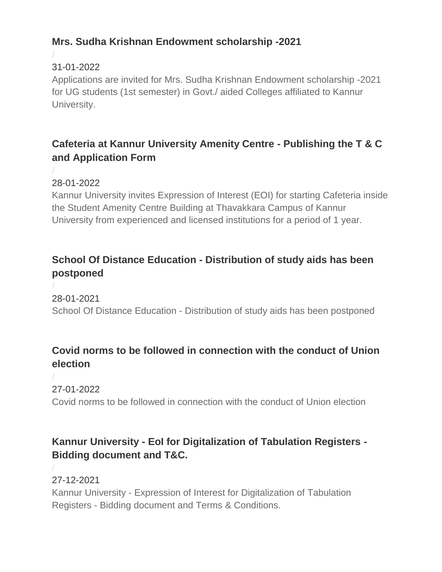# **Mrs. Sudha Krishnan Endowment scholarship -2021**

# 31-01-2022

/

/

[Applications are invited for Mrs. Sudha Krishnan Endowment scholarship -2021](https://www.kannuruniversity.ac.in/media/documents/sudhaa_31-01-2022.pdf)  [for UG students \(1st semester\) in Govt./ aided Colleges affiliated to Kannur](https://www.kannuruniversity.ac.in/media/documents/sudhaa_31-01-2022.pdf)  [University.](https://www.kannuruniversity.ac.in/media/documents/sudhaa_31-01-2022.pdf)

# **Cafeteria at Kannur University Amenity Centre - Publishing the T & C and Application Form**

28-01-2022

[Kannur University invites Expression of Interest \(EOI\) for starting Cafeteria inside](https://www.kannuruniversity.ac.in/media/documents/cafeteria_eoi-converted-merged.pdf)  [the Student Amenity Centre Building at Thavakkara Campus](https://www.kannuruniversity.ac.in/media/documents/cafeteria_eoi-converted-merged.pdf) of Kannur [University from experienced and licensed institutions for a period of 1 year.](https://www.kannuruniversity.ac.in/media/documents/cafeteria_eoi-converted-merged.pdf)

# **School Of Distance Education - Distribution of study aids has been postponed**

/

28-01-2021 School Of Distance Education - [Distribution of study aids has been postponed](https://www.kannuruniversity.ac.in/media/documents/press_release_28.1.22_1.pdf)

# **Covid norms to be followed in connection with the conduct of Union election**

/ 27-01-2022

/

[Covid norms to be followed in connection with the conduct of Union election](https://www.kannuruniversity.ac.in/media/documents/COLLEGE_UNION_ELECTION-converted_2.pdf)

# **Kannur University - EoI for Digitalization of Tabulation Registers - Bidding document and T&C.**

27-12-2021 Kannur University - [Expression of Interest for Digitalization of Tabulation](https://www.kannuruniversity.ac.in/media/documents/EoI_27-01-2022.pdf)  Registers - [Bidding document and Terms & Conditions.](https://www.kannuruniversity.ac.in/media/documents/EoI_27-01-2022.pdf)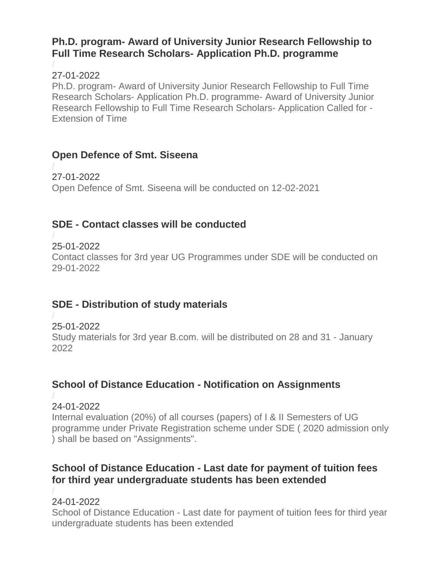#### **Ph.D. program- Award of University Junior Research Fellowship to Full Time Research Scholars- Application Ph.D. programme**

#### / 27-01-2022

Ph.D. program- [Award of University Junior Research Fellowship to Full Time](https://www.kannuruniversity.ac.in/media/documents/circular_nMlAcjr.pdf)  Research Scholars- [Application Ph.D. programme-](https://www.kannuruniversity.ac.in/media/documents/circular_nMlAcjr.pdf) Award of University Junior [Research Fellowship to Full Time Research Scholars-](https://www.kannuruniversity.ac.in/media/documents/circular_nMlAcjr.pdf) Application Called for - [Extension of Time](https://www.kannuruniversity.ac.in/media/documents/circular_nMlAcjr.pdf)

### **Open Defence of Smt. Siseena**

/ 27-01-2022 [Open Defence of Smt. Siseena will be conducted on 12-02-2021](https://www.kannuruniversity.ac.in/media/documents/siseena-press_ZvGUc3D.pdf)

# **SDE - Contact classes will be conducted**

/ 25-01-2022

[Contact classes for 3rd year UG Programmes under SDE will be conducted on](https://www.kannuruniversity.ac.in/media/documents/press_release_25.1.22_contact_class.pdf)  [29-01-2022](https://www.kannuruniversity.ac.in/media/documents/press_release_25.1.22_contact_class.pdf)

# **SDE - Distribution of study materials**

#### / 25-01-2022

[Study materials for 3rd year B.com. will be distributed on 28 and 31 -](https://www.kannuruniversity.ac.in/media/documents/press_release_25.1.22_sim_I7u7UKd.pdf) January [2022](https://www.kannuruniversity.ac.in/media/documents/press_release_25.1.22_sim_I7u7UKd.pdf)

# **School of Distance Education - Notification on Assignments**

#### / 24-01-2022

[Internal evaluation \(20%\) of all courses \(papers\) of I & II Semesters of UG](https://www.kannuruniversity.ac.in/media/documents/sde_notification_22-01-2022.pdf)  [programme under Private Registration scheme under SDE \( 2020 admission only](https://www.kannuruniversity.ac.in/media/documents/sde_notification_22-01-2022.pdf)  [\) shall be based on "Assignments".](https://www.kannuruniversity.ac.in/media/documents/sde_notification_22-01-2022.pdf)

# **School of Distance Education - Last date for payment of tuition fees for third year undergraduate students has been extended**

/

#### 24-01-2022

School of Distance Education - [Last date for payment of tuition fees for third year](https://www.kannuruniversity.ac.in/media/documents/1643007998687.pdf)  [undergraduate students has been extended](https://www.kannuruniversity.ac.in/media/documents/1643007998687.pdf)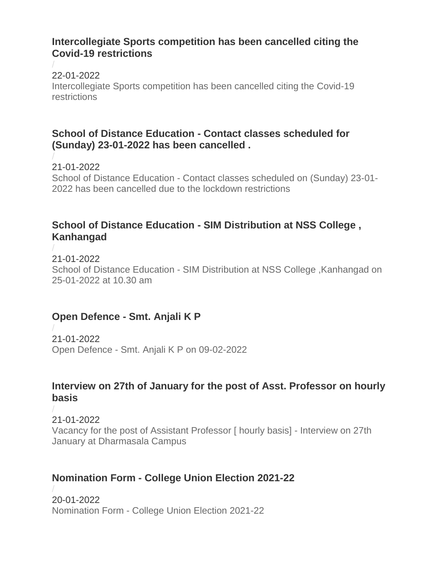#### **Intercollegiate Sports competition has been cancelled citing the Covid-19 restrictions**

/ 22-01-2022 [Intercollegiate Sports competition has been cancelled citing the Covid-19](https://www.kannuruniversity.ac.in/media/documents/PRO.pdf)  [restrictions](https://www.kannuruniversity.ac.in/media/documents/PRO.pdf)

### **School of Distance Education - Contact classes scheduled for (Sunday) 23-01-2022 has been cancelled .**

/ 21-01-2022 School of Distance Education - [Contact classes scheduled on \(Sunday\) 23-01-](https://www.kannuruniversity.ac.in/media/documents/sunday_class.pdf) [2022 has been cancelled due to the lockdown restrictions](https://www.kannuruniversity.ac.in/media/documents/sunday_class.pdf)

## **School of Distance Education - SIM Distribution at NSS College , Kanhangad**

/ 21-01-2022 School of Distance Education - [SIM Distribution at NSS College ,Kanhangad on](https://www.kannuruniversity.ac.in/media/documents/press_release_SIM_distribution.pdf)  [25-01-2022 at 10.30 am](https://www.kannuruniversity.ac.in/media/documents/press_release_SIM_distribution.pdf)

# **Open Defence - Smt. Anjali K P**

/ 21-01-2022 Open Defence - [Smt. Anjali K P on 09-02-2022](https://www.kannuruniversity.ac.in/media/documents/ANJALI-PRESS.pdf)

### **Interview on 27th of January for the post of Asst. Professor on hourly basis**

/ 21-01-2022 [Vacancy for the post of Assistant Professor \[ hourly basis\] -](https://www.kannuruniversity.ac.in/media/documents/viewDocument.do.pdf) Interview on 27th [January at Dharmasala Campus](https://www.kannuruniversity.ac.in/media/documents/viewDocument.do.pdf)

# **Nomination Form - College Union Election 2021-22**

/ 20-01-2022 Nomination Form - [College Union Election 2021-22](https://www.kannuruniversity.ac.in/media/documents/nss01202022123306.pdf)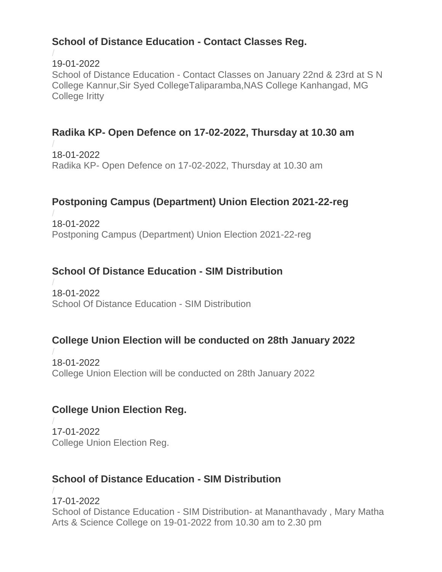# **School of Distance Education - Contact Classes Reg.**

/

19-01-2022 School of Distance Education - [Contact Classes on January 22nd & 23rd at S N](https://www.kannuruniversity.ac.in/media/documents/contact_19.pdf)  [College Kannur,Sir Syed CollegeTaliparamba,NAS College Kanhangad, MG](https://www.kannuruniversity.ac.in/media/documents/contact_19.pdf)  [College Iritty](https://www.kannuruniversity.ac.in/media/documents/contact_19.pdf)

# **Radika KP- Open Defence on 17-02-2022, Thursday at 10.30 am**

/ 18-01-2022 Radika KP- [Open Defence on 17-02-2022, Thursday at 10.30 am](https://www.kannuruniversity.ac.in/media/documents/preessRADIKA.pdf)

### **Postponing Campus (Department) Union Election 2021-22-reg**

/ 18-01-2022 [Postponing Campus \(Department\) Union Election 2021-22-reg](https://www.kannuruniversity.ac.in/media/documents/Circular-CUE.pdf)

### **School Of Distance Education - SIM Distribution**

/ 18-01-2022 [School Of Distance Education -](https://www.kannuruniversity.ac.in/media/documents/SIM_Distribution_kasargod.pdf) SIM Distribution

### **College Union Election will be conducted on 28th January 2022**

/ 18-01-2022 [College Union Election will be conducted on 28th January 2022](https://www.kannuruniversity.ac.in/media/documents/Bye-Laws__Lyngdoh_merged.pdf)

### **College Union Election Reg.**

/ 17-01-2022 [College Union Election Reg.](https://www.kannuruniversity.ac.in/media/documents/PATHRAKKURIPPU.pdf)

### **School of Distance Education - SIM Distribution**

/ 17-01-2022 School of Distance Education - SIM Distribution- [at Mananthavady , Mary Matha](https://www.kannuruniversity.ac.in/media/documents/SIM_distribution.pdf)  [Arts & Science College on 19-01-2022 from 10.30 am to 2.30 pm](https://www.kannuruniversity.ac.in/media/documents/SIM_distribution.pdf)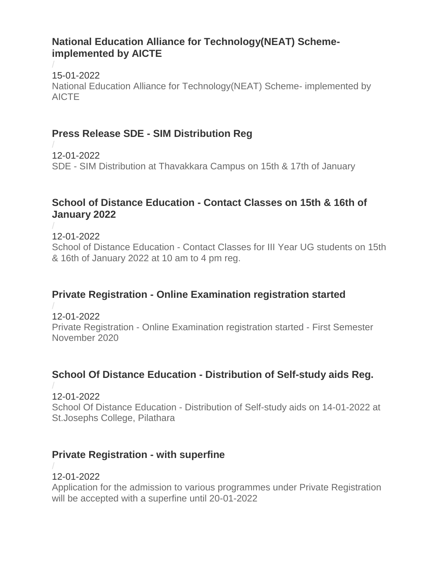### **National Education Alliance for Technology(NEAT) Schemeimplemented by AICTE**

/ 15-01-2022 [National Education Alliance for Technology\(NEAT\) Scheme-](https://www.kannuruniversity.ac.in/media/documents/NEAT_-AICTE.pdf) implemented by [AICTE](https://www.kannuruniversity.ac.in/media/documents/NEAT_-AICTE.pdf)

## **Press Release SDE - SIM Distribution Reg**

/ 12-01-2022 SDE - [SIM Distribution at Thavakkara Campus on 15th & 17th of January](https://www.kannuruniversity.ac.in/media/documents/press_release_sim_distribution_kannur.pdf)

### **School of Distance Education - Contact Classes on 15th & 16th of January 2022**

/ 12-01-2022 School of Distance Education - [Contact Classes for III Year UG students on 15th](https://www.kannuruniversity.ac.in/media/documents/contact_clss_15.pdf)  [& 16th of January 2022 at 10 am to 4 pm reg.](https://www.kannuruniversity.ac.in/media/documents/contact_clss_15.pdf)

# **Private Registration - Online Examination registration started**

/ 12-01-2022 Private Registration - [Online Examination registration started -](https://www.kannuruniversity.ac.in/media/documents/sde_notification_12-01-2022.pdf) First Semester [November 2020](https://www.kannuruniversity.ac.in/media/documents/sde_notification_12-01-2022.pdf)

# **School Of Distance Education - Distribution of Self-study aids Reg.**

#### / 12-01-2022

School Of Distance Education - [Distribution of Self-study aids on 14-01-2022 at](https://www.kannuruniversity.ac.in/media/documents/Press__Release-_Grade_Card_Distribution._1.pdf)  [St.Josephs College, Pilathara](https://www.kannuruniversity.ac.in/media/documents/Press__Release-_Grade_Card_Distribution._1.pdf)

### **Private Registration - with superfine**

#### / 12-01-2022

[Application for the admission to various programmes under Private Registration](https://www.kannuruniversity.ac.in/media/documents/sde_press-12-01-22.pdf)  [will be accepted with a superfine until 20-01-2022](https://www.kannuruniversity.ac.in/media/documents/sde_press-12-01-22.pdf)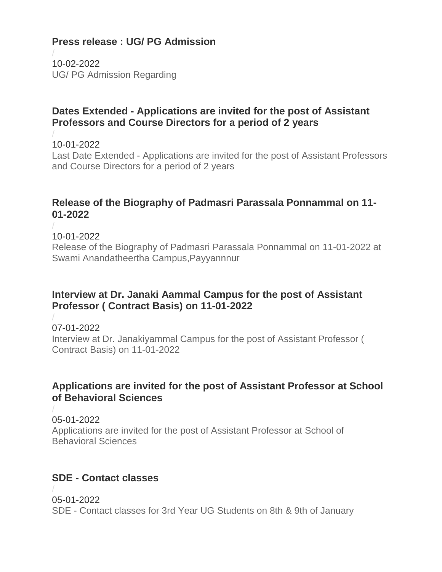# **Press release : UG/ PG Admission**

/ 10-02-2022 [UG/ PG Admission Regarding](https://www.kannuruniversity.ac.in/media/documents/Press_release-JANUARY.pdf)

### **Dates Extended - Applications are invited for the post of Assistant Professors and Course Directors for a period of 2 years**

/ 10-01-2022

/

Last Date Extended - [Applications are invited for the post of Assistant Professors](https://www.kannuruniversity.ac.in/media/documents/Press_Release_2_baIckic.pdf)  [and Course Directors for a period of 2 years](https://www.kannuruniversity.ac.in/media/documents/Press_Release_2_baIckic.pdf)

### **Release of the Biography of Padmasri Parassala Ponnammal on 11- 01-2022**

10-01-2022 [Release of the Biography of Padmasri Parassala Ponnammal on 11-01-2022 at](https://www.kannuruniversity.ac.in/media/documents/06-09-Press_Release_1.pdf)  [Swami Anandatheertha Campus,Payyannnur](https://www.kannuruniversity.ac.in/media/documents/06-09-Press_Release_1.pdf)

### **Interview at Dr. Janaki Aammal Campus for the post of Assistant Professor ( Contract Basis) on 11-01-2022**

/ 07-01-2022 [Interview at Dr. Janakiyammal Campus for the post of Assistant Professor \(](https://www.kannuruniversity.ac.in/media/documents/06-01-2022_it_ASSIST_PALAYAD-converted_1.pdf)  [Contract Basis\) on 11-01-2022](https://www.kannuruniversity.ac.in/media/documents/06-01-2022_it_ASSIST_PALAYAD-converted_1.pdf)

### **Applications are invited for the post of Assistant Professor at School of Behavioral Sciences**

/ 05-01-2022 Applications are invited for [the post of Assistant Professor at School of](https://www.kannuruniversity.ac.in/media/documents/IMG-20220104-WA0060.pdf)  [Behavioral Sciences](https://www.kannuruniversity.ac.in/media/documents/IMG-20220104-WA0060.pdf)

# **SDE - Contact classes**

/ 05-01-2022 SDE - [Contact classes for 3rd Year UG Students on 8th & 9th of January](https://www.kannuruniversity.ac.in/media/documents/cont_clss.pdf)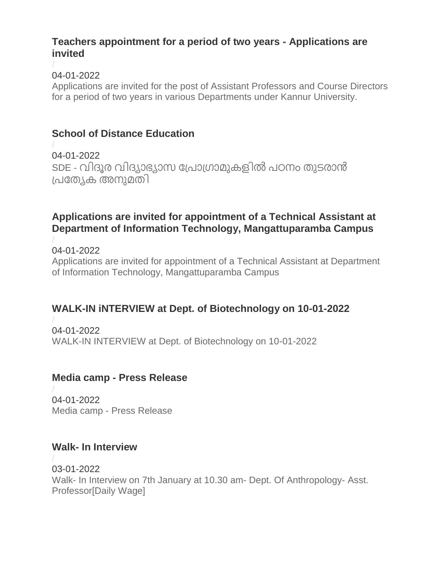#### **Teachers appointment for a period of two years - Applications are invited**

#### / 04-01-2022

[Applications are invited for the post of Assistant Professors and Course Directors](https://www.kannuruniversity.ac.in/media/documents/Press_Release_2_baIckic.pdf)  [for a period of two years in various Departments under Kannur University.](https://www.kannuruniversity.ac.in/media/documents/Press_Release_2_baIckic.pdf)

# **School of Distance Education**

/ 04-01-2022 SDE - വിദൂര വിദയാഭ്യാസ [പ്രാ്രാമുകളിൽ](https://www.kannuruniversity.ac.in/media/documents/token_reg.pdf) രഠനം തുടരാൻ പ്രത്യേക [അനുമതി](https://www.kannuruniversity.ac.in/media/documents/token_reg.pdf)

## **Applications are invited for appointment of a Technical Assistant at Department of Information Technology, Mangattuparamba Campus**

#### / 04-01-2022

[Applications are invited for appointment of a Technical Assistant at Department](https://www.kannuruniversity.ac.in/media/documents/Notification_dt._03.01.2022.pdf)  [of Information Technology, Mangattuparamba Campus](https://www.kannuruniversity.ac.in/media/documents/Notification_dt._03.01.2022.pdf)

# **WALK-IN iNTERVIEW at Dept. of Biotechnology on 10-01-2022**

/ 04-01-2022 [WALK-IN INTERVIEW at Dept. of Biotechnology on 10-01-2022](https://www.kannuruniversity.ac.in/media/documents/Walk-in_interveiw_BiotechDept_1.pdf)

# **Media camp - Press Release**

/ 04-01-2022 Media camp - [Press Release](https://www.kannuruniversity.ac.in/media/documents/03-01-2022_media_camp_1.pdf)

### **Walk- In Interview**

/ 03-01-2022 Walk- [In Interview on 7th January at 10.30 am-](https://www.kannuruniversity.ac.in/media/documents/walkin.pdf) Dept. Of Anthropology- Asst. [Professor\[Daily Wage\]](https://www.kannuruniversity.ac.in/media/documents/walkin.pdf)